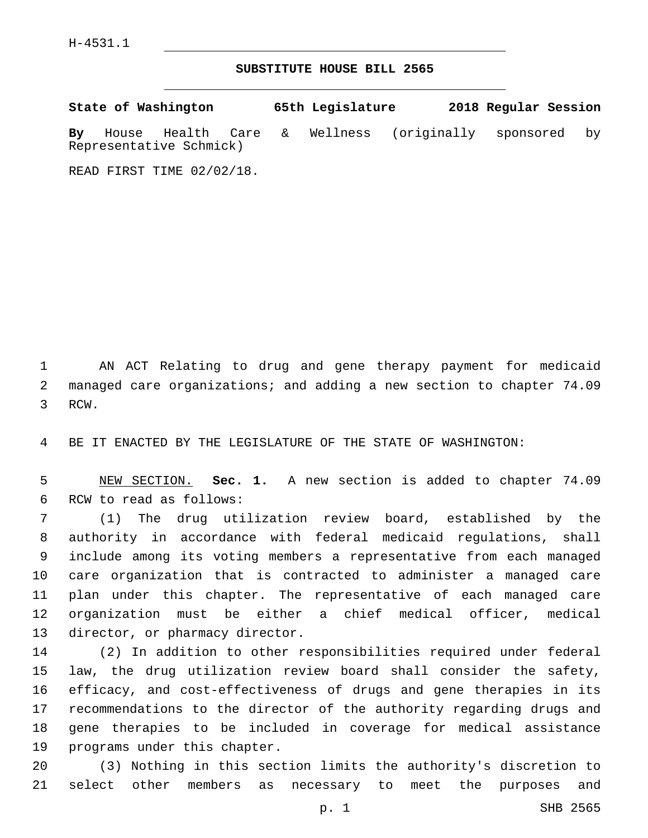## **SUBSTITUTE HOUSE BILL 2565**

|     | State of Washington |                                              |    | 65th Legislature |                          | 2018 Regular Session |  |
|-----|---------------------|----------------------------------------------|----|------------------|--------------------------|----------------------|--|
| Bv. |                     | House Health Care<br>Representative Schmick) | &. | Wellness         | (originally sponsored by |                      |  |

READ FIRST TIME 02/02/18.

 AN ACT Relating to drug and gene therapy payment for medicaid managed care organizations; and adding a new section to chapter 74.09 3 RCW.

BE IT ENACTED BY THE LEGISLATURE OF THE STATE OF WASHINGTON:

 NEW SECTION. **Sec. 1.** A new section is added to chapter 74.09 6 RCW to read as follows:

 (1) The drug utilization review board, established by the authority in accordance with federal medicaid regulations, shall include among its voting members a representative from each managed care organization that is contracted to administer a managed care plan under this chapter. The representative of each managed care organization must be either a chief medical officer, medical 13 director, or pharmacy director.

 (2) In addition to other responsibilities required under federal law, the drug utilization review board shall consider the safety, efficacy, and cost-effectiveness of drugs and gene therapies in its recommendations to the director of the authority regarding drugs and gene therapies to be included in coverage for medical assistance 19 programs under this chapter.

 (3) Nothing in this section limits the authority's discretion to select other members as necessary to meet the purposes and